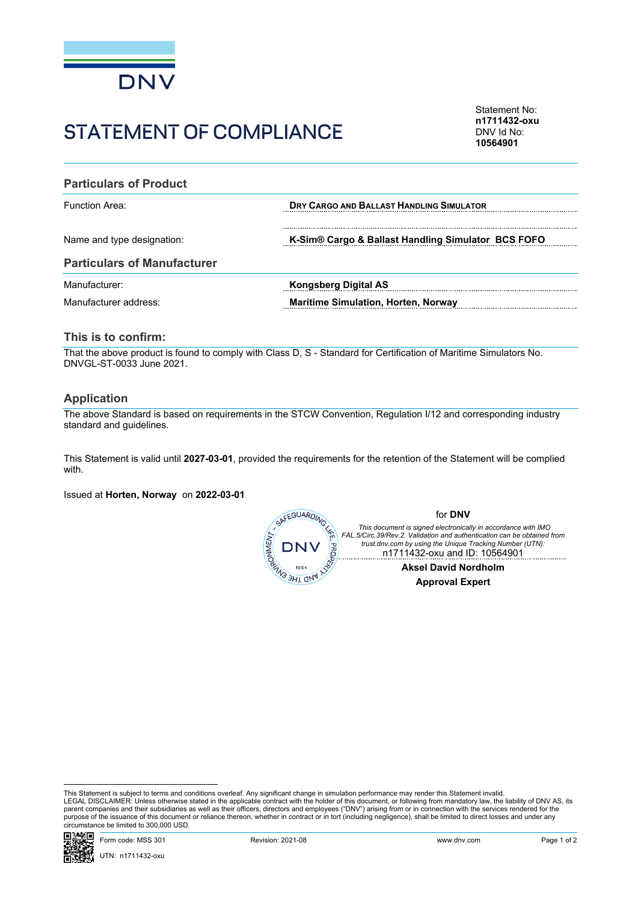

# STATEMENT OF COMPLIANCE

Statement No: **n1711432-oxu** DNV Id No: **10564901**

| <b>Particulars of Product</b>      |                                                    |  |  |
|------------------------------------|----------------------------------------------------|--|--|
| <b>Function Area:</b>              | <b>DRY CARGO AND BALLAST HANDLING SIMULATOR</b>    |  |  |
| Name and type designation:         | K-Sim® Cargo & Ballast Handling Simulator BCS FOFO |  |  |
| <b>Particulars of Manufacturer</b> |                                                    |  |  |
| Manufacturer:                      | <b>Kongsberg Digital AS</b>                        |  |  |
| Manufacturer address:              | <b>Maritime Simulation, Horten, Norway</b>         |  |  |

### **This is to confirm:**

That the above product is found to comply with Class D, S - Standard for Certification of Maritime Simulators No. DNVGL-ST-0033 June 2021.

#### **Application**

The above Standard is based on requirements in the STCW Convention, Regulation I/12 and corresponding industry standard and guidelines.

This Statement is valid until **2027-03-01**, provided the requirements for the retention of the Statement will be complied with.

Issued at **Horten, Norway** on **2022-03-01**



This Statement is subject to terms and conditions overleaf. Any significant change in simulation performance may render this Statement invalid.<br>LEGAL DISCLAIMER: Unless otherwise stated in the applicable contract with the purpose of the issuance of this document or reliance thereon, whether in contract or in tort (including negligence), shall be limited to direct losses and under any circumstance be limited to 300,000 USD.